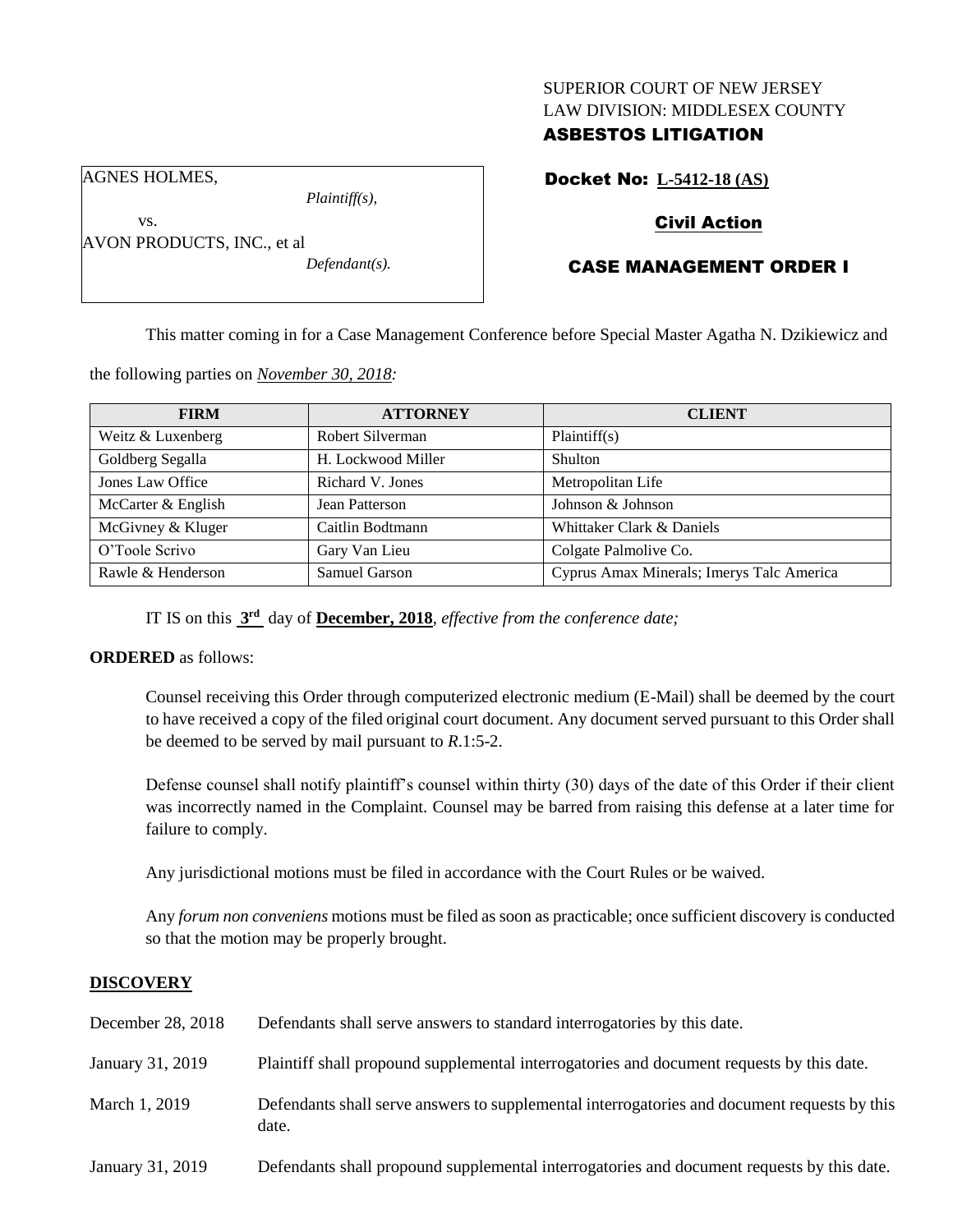### SUPERIOR COURT OF NEW JERSEY LAW DIVISION: MIDDLESEX COUNTY

### ASBESTOS LITIGATION

AGNES HOLMES,

vs.

AVON PRODUCTS, INC., et al

*Plaintiff(s),*

*Defendant(s).*

## Docket No: **L-5412-18 (AS)**

## Civil Action

## CASE MANAGEMENT ORDER I

This matter coming in for a Case Management Conference before Special Master Agatha N. Dzikiewicz and

the following parties on *November 30, 2018:*

| <b>FIRM</b>        | <b>ATTORNEY</b>    | <b>CLIENT</b>                             |
|--------------------|--------------------|-------------------------------------------|
| Weitz & Luxenberg  | Robert Silverman   | Plaintiff(s)                              |
| Goldberg Segalla   | H. Lockwood Miller | Shulton                                   |
| Jones Law Office   | Richard V. Jones   | Metropolitan Life                         |
| McCarter & English | Jean Patterson     | Johnson & Johnson                         |
| McGivney & Kluger  | Caitlin Bodtmann   | Whittaker Clark & Daniels                 |
| O'Toole Scrivo     | Gary Van Lieu      | Colgate Palmolive Co.                     |
| Rawle & Henderson  | Samuel Garson      | Cyprus Amax Minerals; Imerys Talc America |

IT IS on this **3 rd** day of **December, 2018**, *effective from the conference date;*

### **ORDERED** as follows:

Counsel receiving this Order through computerized electronic medium (E-Mail) shall be deemed by the court to have received a copy of the filed original court document. Any document served pursuant to this Order shall be deemed to be served by mail pursuant to *R*.1:5-2.

Defense counsel shall notify plaintiff's counsel within thirty (30) days of the date of this Order if their client was incorrectly named in the Complaint. Counsel may be barred from raising this defense at a later time for failure to comply.

Any jurisdictional motions must be filed in accordance with the Court Rules or be waived.

Any *forum non conveniens* motions must be filed as soon as practicable; once sufficient discovery is conducted so that the motion may be properly brought.

### **DISCOVERY**

| December 28, 2018 | Defendants shall serve answers to standard interrogatories by this date.                              |
|-------------------|-------------------------------------------------------------------------------------------------------|
| January 31, 2019  | Plaintiff shall propound supplemental interrogatories and document requests by this date.             |
| March 1, 2019     | Defendants shall serve answers to supplemental interrogatories and document requests by this<br>date. |
| January 31, 2019  | Defendants shall propound supplemental interrogatories and document requests by this date.            |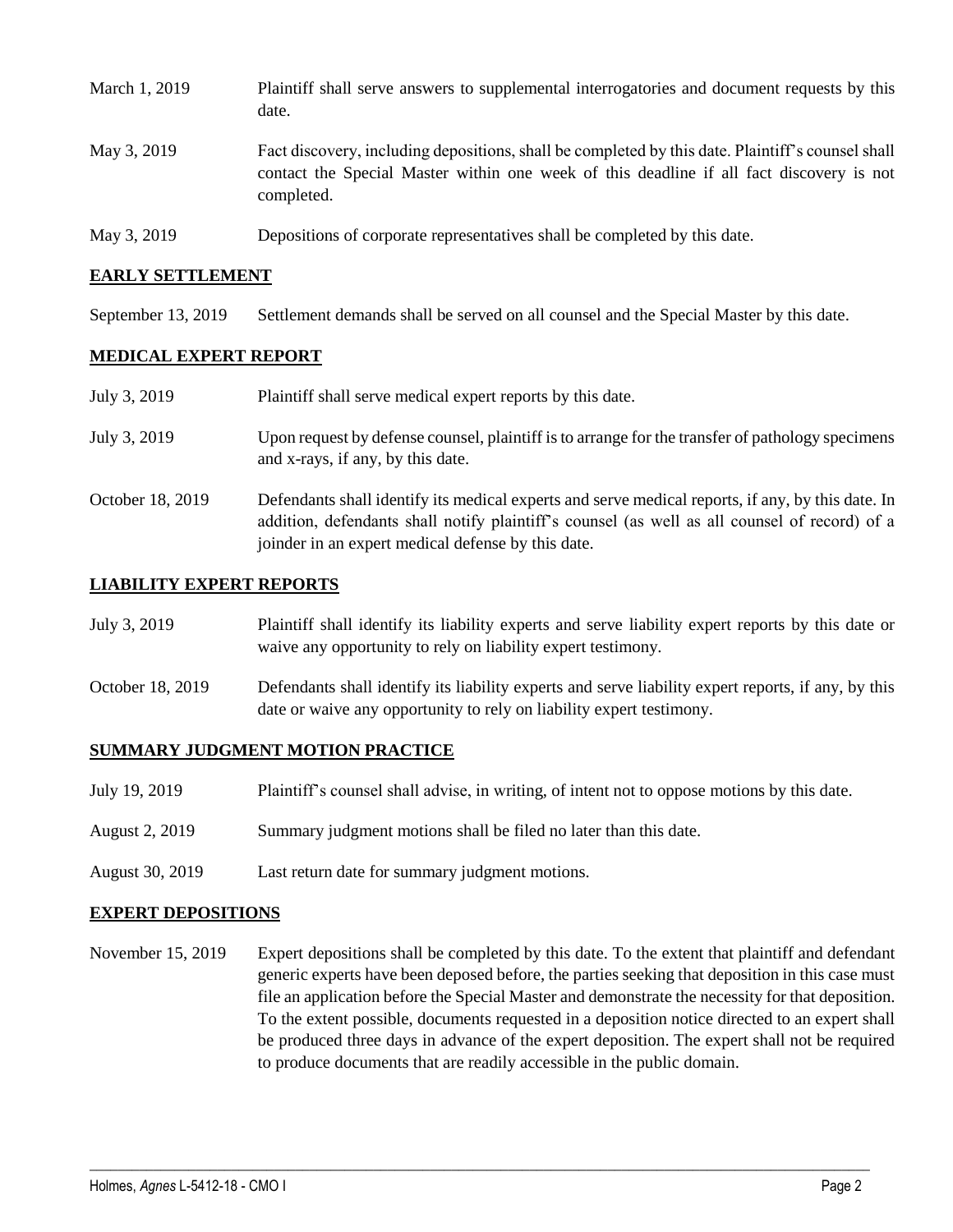| March 1, 2019 | Plaintiff shall serve answers to supplemental interrogatories and document requests by this<br>date.                                                                                                        |
|---------------|-------------------------------------------------------------------------------------------------------------------------------------------------------------------------------------------------------------|
| May 3, 2019   | Fact discovery, including depositions, shall be completed by this date. Plaintiff's counsel shall<br>contact the Special Master within one week of this deadline if all fact discovery is not<br>completed. |
| May 3, 2019   | Depositions of corporate representatives shall be completed by this date.                                                                                                                                   |

#### **EARLY SETTLEMENT**

September 13, 2019 Settlement demands shall be served on all counsel and the Special Master by this date.

#### **MEDICAL EXPERT REPORT**

| July 3, 2019     | Plaintiff shall serve medical expert reports by this date.                                                                                                                                                                                               |
|------------------|----------------------------------------------------------------------------------------------------------------------------------------------------------------------------------------------------------------------------------------------------------|
| July 3, 2019     | Upon request by defense counsel, plaintiff is to arrange for the transfer of pathology specimens<br>and x-rays, if any, by this date.                                                                                                                    |
| October 18, 2019 | Defendants shall identify its medical experts and serve medical reports, if any, by this date. In<br>addition, defendants shall notify plaintiff's counsel (as well as all counsel of record) of a<br>joinder in an expert medical defense by this date. |

#### **LIABILITY EXPERT REPORTS**

| July 3, 2019     | Plaintiff shall identify its liability experts and serve liability expert reports by this date or<br>waive any opportunity to rely on liability expert testimony.           |
|------------------|-----------------------------------------------------------------------------------------------------------------------------------------------------------------------------|
| October 18, 2019 | Defendants shall identify its liability experts and serve liability expert reports, if any, by this<br>date or waive any opportunity to rely on liability expert testimony. |

#### **SUMMARY JUDGMENT MOTION PRACTICE**

- July 19, 2019 Plaintiff's counsel shall advise, in writing, of intent not to oppose motions by this date.
- August 2, 2019 Summary judgment motions shall be filed no later than this date.
- August 30, 2019 Last return date for summary judgment motions.

#### **EXPERT DEPOSITIONS**

November 15, 2019 Expert depositions shall be completed by this date. To the extent that plaintiff and defendant generic experts have been deposed before, the parties seeking that deposition in this case must file an application before the Special Master and demonstrate the necessity for that deposition. To the extent possible, documents requested in a deposition notice directed to an expert shall be produced three days in advance of the expert deposition. The expert shall not be required to produce documents that are readily accessible in the public domain.

 $\_$  ,  $\_$  ,  $\_$  ,  $\_$  ,  $\_$  ,  $\_$  ,  $\_$  ,  $\_$  ,  $\_$  ,  $\_$  ,  $\_$  ,  $\_$  ,  $\_$  ,  $\_$  ,  $\_$  ,  $\_$  ,  $\_$  ,  $\_$  ,  $\_$  ,  $\_$  ,  $\_$  ,  $\_$  ,  $\_$  ,  $\_$  ,  $\_$  ,  $\_$  ,  $\_$  ,  $\_$  ,  $\_$  ,  $\_$  ,  $\_$  ,  $\_$  ,  $\_$  ,  $\_$  ,  $\_$  ,  $\_$  ,  $\_$  ,